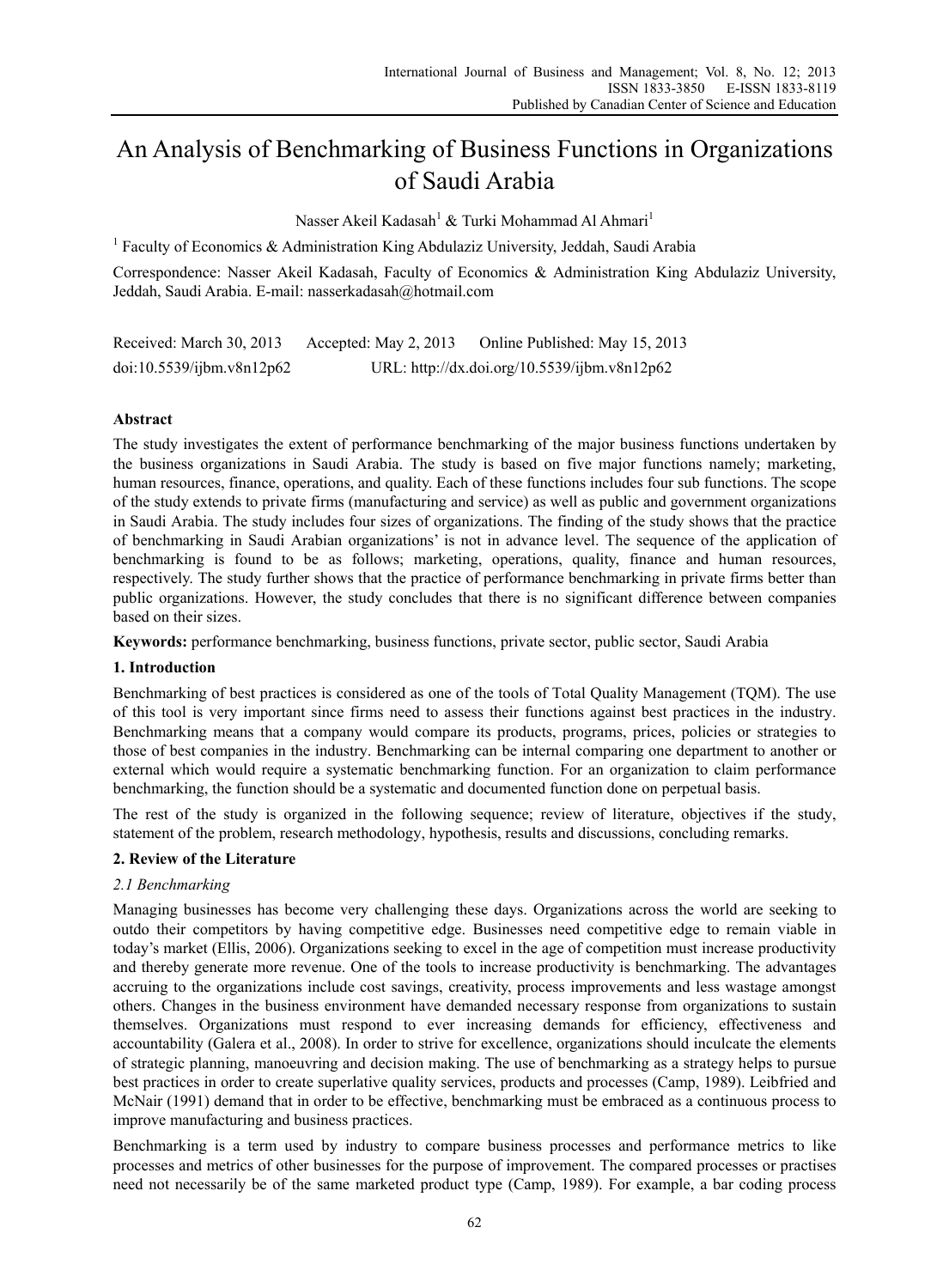# An Analysis of Benchmarking of Business Functions in Organizations of Saudi Arabia

Nasser Akeil Kadasah<sup>1</sup> & Turki Mohammad Al Ahmari<sup>1</sup>

<sup>1</sup> Faculty of Economics & Administration King Abdulaziz University, Jeddah, Saudi Arabia

Correspondence: Nasser Akeil Kadasah, Faculty of Economics & Administration King Abdulaziz University, Jeddah, Saudi Arabia. E-mail: nasserkadasah@hotmail.com

Received: March 30, 2013 Accepted: May 2, 2013 Online Published: May 15, 2013 doi:10.5539/ijbm.v8n12p62 URL: http://dx.doi.org/10.5539/ijbm.v8n12p62

# **Abstract**

The study investigates the extent of performance benchmarking of the major business functions undertaken by the business organizations in Saudi Arabia. The study is based on five major functions namely; marketing, human resources, finance, operations, and quality. Each of these functions includes four sub functions. The scope of the study extends to private firms (manufacturing and service) as well as public and government organizations in Saudi Arabia. The study includes four sizes of organizations. The finding of the study shows that the practice of benchmarking in Saudi Arabian organizations' is not in advance level. The sequence of the application of benchmarking is found to be as follows; marketing, operations, quality, finance and human resources, respectively. The study further shows that the practice of performance benchmarking in private firms better than public organizations. However, the study concludes that there is no significant difference between companies based on their sizes.

**Keywords:** performance benchmarking, business functions, private sector, public sector, Saudi Arabia

# **1. Introduction**

Benchmarking of best practices is considered as one of the tools of Total Quality Management (TQM). The use of this tool is very important since firms need to assess their functions against best practices in the industry. Benchmarking means that a company would compare its products, programs, prices, policies or strategies to those of best companies in the industry. Benchmarking can be internal comparing one department to another or external which would require a systematic benchmarking function. For an organization to claim performance benchmarking, the function should be a systematic and documented function done on perpetual basis.

The rest of the study is organized in the following sequence; review of literature, objectives if the study, statement of the problem, research methodology, hypothesis, results and discussions, concluding remarks.

# **2. Review of the Literature**

# *2.1 Benchmarking*

Managing businesses has become very challenging these days. Organizations across the world are seeking to outdo their competitors by having competitive edge. Businesses need competitive edge to remain viable in today's market (Ellis, 2006). Organizations seeking to excel in the age of competition must increase productivity and thereby generate more revenue. One of the tools to increase productivity is benchmarking. The advantages accruing to the organizations include cost savings, creativity, process improvements and less wastage amongst others. Changes in the business environment have demanded necessary response from organizations to sustain themselves. Organizations must respond to ever increasing demands for efficiency, effectiveness and accountability (Galera et al., 2008). In order to strive for excellence, organizations should inculcate the elements of strategic planning, manoeuvring and decision making. The use of benchmarking as a strategy helps to pursue best practices in order to create superlative quality services, products and processes (Camp, 1989). Leibfried and McNair (1991) demand that in order to be effective, benchmarking must be embraced as a continuous process to improve manufacturing and business practices.

Benchmarking is a term used by industry to compare business processes and performance metrics to like processes and metrics of other businesses for the purpose of improvement. The compared processes or practises need not necessarily be of the same marketed product type (Camp, 1989). For example, a bar coding process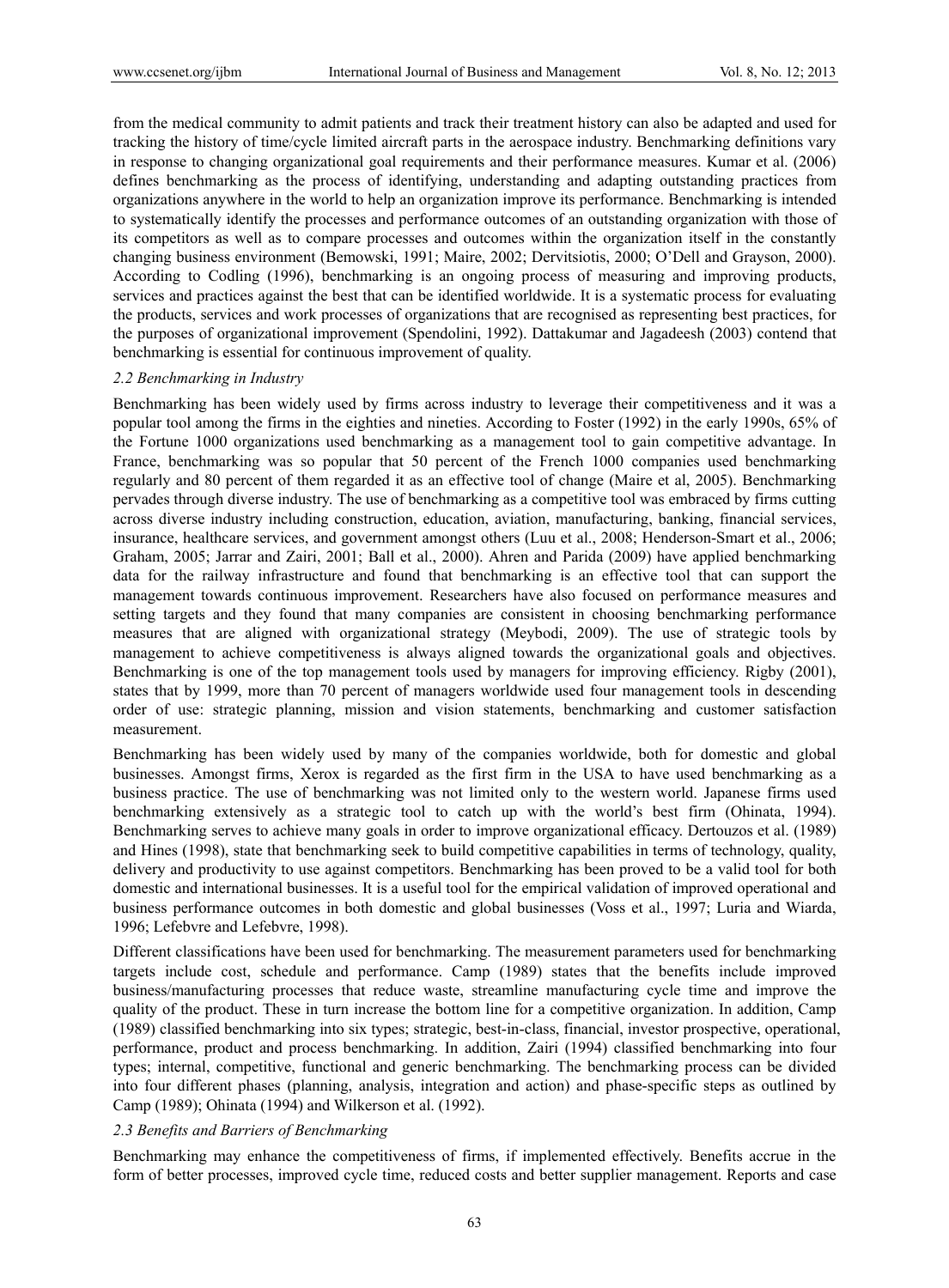from the medical community to admit patients and track their treatment history can also be adapted and used for tracking the history of time/cycle limited aircraft parts in the aerospace industry. Benchmarking definitions vary in response to changing organizational goal requirements and their performance measures. Kumar et al. (2006) defines benchmarking as the process of identifying, understanding and adapting outstanding practices from organizations anywhere in the world to help an organization improve its performance. Benchmarking is intended to systematically identify the processes and performance outcomes of an outstanding organization with those of its competitors as well as to compare processes and outcomes within the organization itself in the constantly changing business environment (Bemowski, 1991; Maire, 2002; Dervitsiotis, 2000; O'Dell and Grayson, 2000). According to Codling (1996), benchmarking is an ongoing process of measuring and improving products, services and practices against the best that can be identified worldwide. It is a systematic process for evaluating the products, services and work processes of organizations that are recognised as representing best practices, for the purposes of organizational improvement (Spendolini, 1992). Dattakumar and Jagadeesh (2003) contend that benchmarking is essential for continuous improvement of quality.

#### *2.2 Benchmarking in Industry*

Benchmarking has been widely used by firms across industry to leverage their competitiveness and it was a popular tool among the firms in the eighties and nineties. According to Foster (1992) in the early 1990s, 65% of the Fortune 1000 organizations used benchmarking as a management tool to gain competitive advantage. In France, benchmarking was so popular that 50 percent of the French 1000 companies used benchmarking regularly and 80 percent of them regarded it as an effective tool of change (Maire et al, 2005). Benchmarking pervades through diverse industry. The use of benchmarking as a competitive tool was embraced by firms cutting across diverse industry including construction, education, aviation, manufacturing, banking, financial services, insurance, healthcare services, and government amongst others (Luu et al., 2008; Henderson-Smart et al., 2006; Graham, 2005; Jarrar and Zairi, 2001; Ball et al., 2000). Ahren and Parida (2009) have applied benchmarking data for the railway infrastructure and found that benchmarking is an effective tool that can support the management towards continuous improvement. Researchers have also focused on performance measures and setting targets and they found that many companies are consistent in choosing benchmarking performance measures that are aligned with organizational strategy (Meybodi, 2009). The use of strategic tools by management to achieve competitiveness is always aligned towards the organizational goals and objectives. Benchmarking is one of the top management tools used by managers for improving efficiency. Rigby (2001), states that by 1999, more than 70 percent of managers worldwide used four management tools in descending order of use: strategic planning, mission and vision statements, benchmarking and customer satisfaction measurement.

Benchmarking has been widely used by many of the companies worldwide, both for domestic and global businesses. Amongst firms, Xerox is regarded as the first firm in the USA to have used benchmarking as a business practice. The use of benchmarking was not limited only to the western world. Japanese firms used benchmarking extensively as a strategic tool to catch up with the world's best firm (Ohinata, 1994). Benchmarking serves to achieve many goals in order to improve organizational efficacy. Dertouzos et al. (1989) and Hines (1998), state that benchmarking seek to build competitive capabilities in terms of technology, quality, delivery and productivity to use against competitors. Benchmarking has been proved to be a valid tool for both domestic and international businesses. It is a useful tool for the empirical validation of improved operational and business performance outcomes in both domestic and global businesses (Voss et al., 1997; Luria and Wiarda, 1996; Lefebvre and Lefebvre, 1998).

Different classifications have been used for benchmarking. The measurement parameters used for benchmarking targets include cost, schedule and performance. Camp (1989) states that the benefits include improved business/manufacturing processes that reduce waste, streamline manufacturing cycle time and improve the quality of the product. These in turn increase the bottom line for a competitive organization. In addition, Camp (1989) classified benchmarking into six types; strategic, best-in-class, financial, investor prospective, operational, performance, product and process benchmarking. In addition, Zairi (1994) classified benchmarking into four types; internal, competitive, functional and generic benchmarking. The benchmarking process can be divided into four different phases (planning, analysis, integration and action) and phase-specific steps as outlined by Camp (1989); Ohinata (1994) and Wilkerson et al. (1992).

#### *2.3 Benefits and Barriers of Benchmarking*

Benchmarking may enhance the competitiveness of firms, if implemented effectively. Benefits accrue in the form of better processes, improved cycle time, reduced costs and better supplier management. Reports and case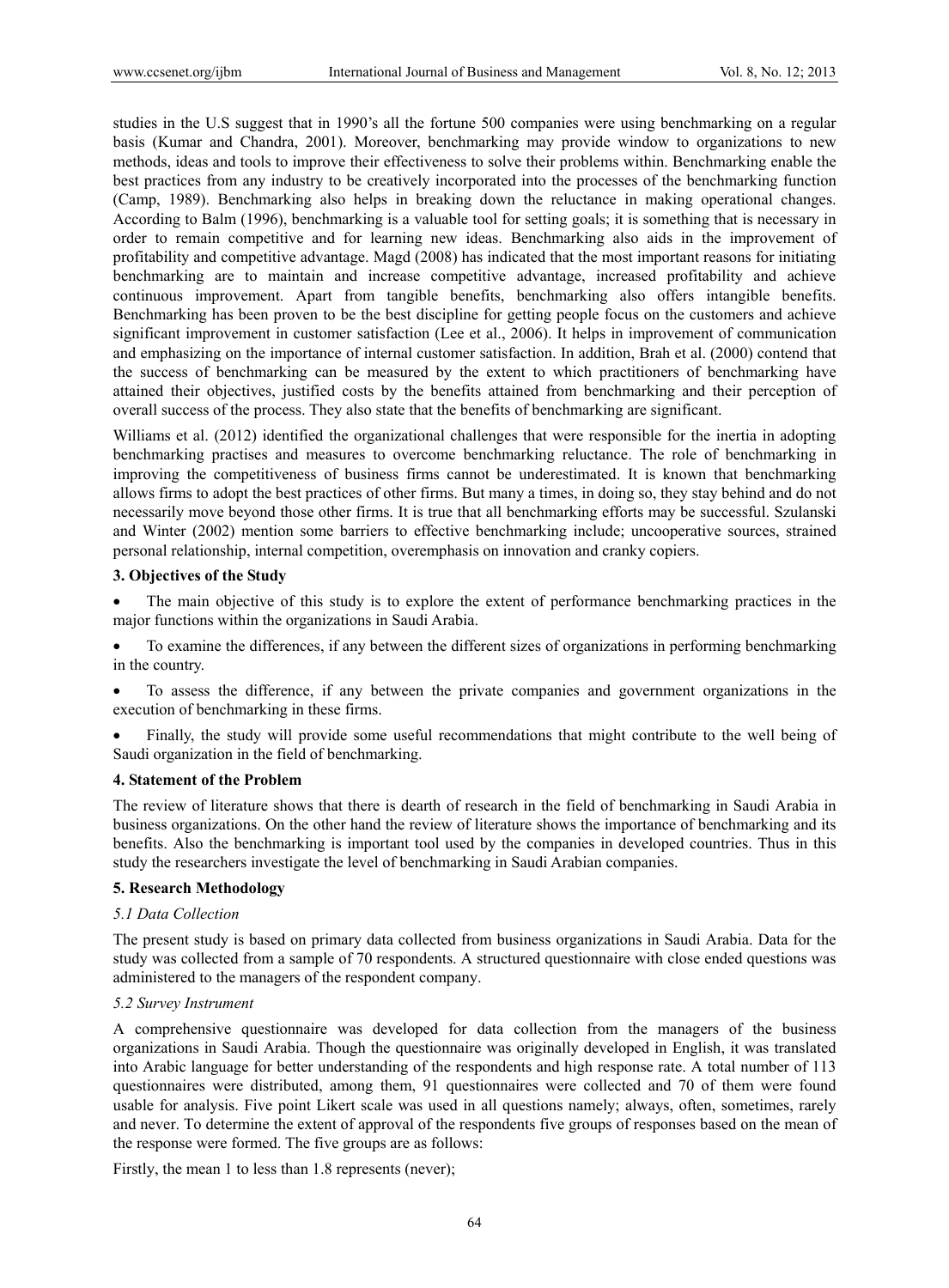studies in the U.S suggest that in 1990's all the fortune 500 companies were using benchmarking on a regular basis (Kumar and Chandra, 2001). Moreover, benchmarking may provide window to organizations to new methods, ideas and tools to improve their effectiveness to solve their problems within. Benchmarking enable the best practices from any industry to be creatively incorporated into the processes of the benchmarking function (Camp, 1989). Benchmarking also helps in breaking down the reluctance in making operational changes. According to Balm (1996), benchmarking is a valuable tool for setting goals; it is something that is necessary in order to remain competitive and for learning new ideas. Benchmarking also aids in the improvement of profitability and competitive advantage. Magd (2008) has indicated that the most important reasons for initiating benchmarking are to maintain and increase competitive advantage, increased profitability and achieve continuous improvement. Apart from tangible benefits, benchmarking also offers intangible benefits. Benchmarking has been proven to be the best discipline for getting people focus on the customers and achieve significant improvement in customer satisfaction (Lee et al., 2006). It helps in improvement of communication and emphasizing on the importance of internal customer satisfaction. In addition, Brah et al. (2000) contend that the success of benchmarking can be measured by the extent to which practitioners of benchmarking have attained their objectives, justified costs by the benefits attained from benchmarking and their perception of overall success of the process. They also state that the benefits of benchmarking are significant.

Williams et al. (2012) identified the organizational challenges that were responsible for the inertia in adopting benchmarking practises and measures to overcome benchmarking reluctance. The role of benchmarking in improving the competitiveness of business firms cannot be underestimated. It is known that benchmarking allows firms to adopt the best practices of other firms. But many a times, in doing so, they stay behind and do not necessarily move beyond those other firms. It is true that all benchmarking efforts may be successful. Szulanski and Winter (2002) mention some barriers to effective benchmarking include; uncooperative sources, strained personal relationship, internal competition, overemphasis on innovation and cranky copiers.

#### **3. Objectives of the Study**

 The main objective of this study is to explore the extent of performance benchmarking practices in the major functions within the organizations in Saudi Arabia.

 To examine the differences, if any between the different sizes of organizations in performing benchmarking in the country.

 To assess the difference, if any between the private companies and government organizations in the execution of benchmarking in these firms.

 Finally, the study will provide some useful recommendations that might contribute to the well being of Saudi organization in the field of benchmarking.

#### **4. Statement of the Problem**

The review of literature shows that there is dearth of research in the field of benchmarking in Saudi Arabia in business organizations. On the other hand the review of literature shows the importance of benchmarking and its benefits. Also the benchmarking is important tool used by the companies in developed countries. Thus in this study the researchers investigate the level of benchmarking in Saudi Arabian companies.

## **5. Research Methodology**

## *5.1 Data Collection*

The present study is based on primary data collected from business organizations in Saudi Arabia. Data for the study was collected from a sample of 70 respondents. A structured questionnaire with close ended questions was administered to the managers of the respondent company.

### *5.2 Survey Instrument*

A comprehensive questionnaire was developed for data collection from the managers of the business organizations in Saudi Arabia. Though the questionnaire was originally developed in English, it was translated into Arabic language for better understanding of the respondents and high response rate. A total number of 113 questionnaires were distributed, among them, 91 questionnaires were collected and 70 of them were found usable for analysis. Five point Likert scale was used in all questions namely; always, often, sometimes, rarely and never. To determine the extent of approval of the respondents five groups of responses based on the mean of the response were formed. The five groups are as follows:

Firstly, the mean 1 to less than 1.8 represents (never);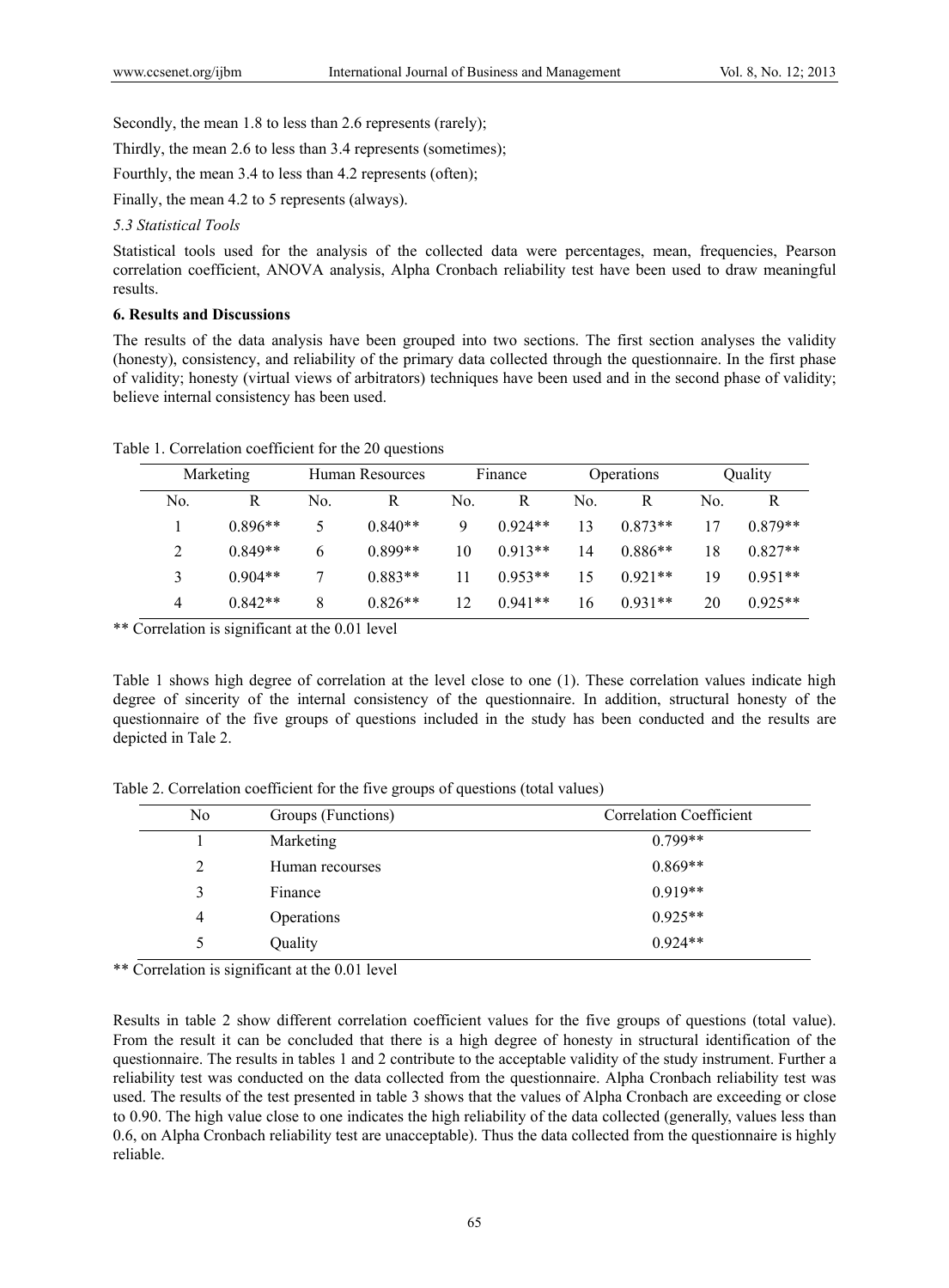Secondly, the mean 1.8 to less than 2.6 represents (rarely);

Thirdly, the mean 2.6 to less than 3.4 represents (sometimes);

Fourthly, the mean 3.4 to less than 4.2 represents (often);

Finally, the mean 4.2 to 5 represents (always).

#### *5.3 Statistical Tools*

Statistical tools used for the analysis of the collected data were percentages, mean, frequencies, Pearson correlation coefficient, ANOVA analysis, Alpha Cronbach reliability test have been used to draw meaningful results.

## **6. Results and Discussions**

The results of the data analysis have been grouped into two sections. The first section analyses the validity (honesty), consistency, and reliability of the primary data collected through the questionnaire. In the first phase of validity; honesty (virtual views of arbitrators) techniques have been used and in the second phase of validity; believe internal consistency has been used.

|     | Marketing |     | Human Resources |     | Finance   |     | Operations |     | Quality   |
|-----|-----------|-----|-----------------|-----|-----------|-----|------------|-----|-----------|
| No. | R         | No. | R               | No. | R         | No. | R          | No. | R         |
|     | $0.896**$ | ↖   | $0.840**$       | 9   | $0.924**$ | 13  | $0.873**$  | 17  | $0.879**$ |
|     | $0.849**$ | 6   | $0.899**$       | 10  | $0.913**$ | 14  | $0.886**$  | 18  | $0.827**$ |
|     | $0.904**$ |     | $0.883**$       | 11  | $0.953**$ | 15  | $0.921**$  | 19  | $0.951**$ |
| 4   | $0.842**$ | 8   | $0.826**$       | 12  | $0.941**$ | 16  | $0.931**$  | 20  | $0.925**$ |

Table 1. Correlation coefficient for the 20 questions

\*\* Correlation is significant at the 0.01 level

Table 1 shows high degree of correlation at the level close to one (1). These correlation values indicate high degree of sincerity of the internal consistency of the questionnaire. In addition, structural honesty of the questionnaire of the five groups of questions included in the study has been conducted and the results are depicted in Tale 2.

Table 2. Correlation coefficient for the five groups of questions (total values)

| N <sub>0</sub> | Groups (Functions) | <b>Correlation Coefficient</b> |
|----------------|--------------------|--------------------------------|
|                | Marketing          | $0.799**$                      |
| 2              | Human recourses    | $0.869**$                      |
| 3              | Finance            | $0.919**$                      |
| 4              | Operations         | $0.925**$                      |
|                | Quality            | $0.924**$                      |

\*\* Correlation is significant at the 0.01 level

Results in table 2 show different correlation coefficient values for the five groups of questions (total value). From the result it can be concluded that there is a high degree of honesty in structural identification of the questionnaire. The results in tables 1 and 2 contribute to the acceptable validity of the study instrument. Further a reliability test was conducted on the data collected from the questionnaire. Alpha Cronbach reliability test was used. The results of the test presented in table 3 shows that the values of Alpha Cronbach are exceeding or close to 0.90. The high value close to one indicates the high reliability of the data collected (generally, values less than 0.6, on Alpha Cronbach reliability test are unacceptable). Thus the data collected from the questionnaire is highly reliable.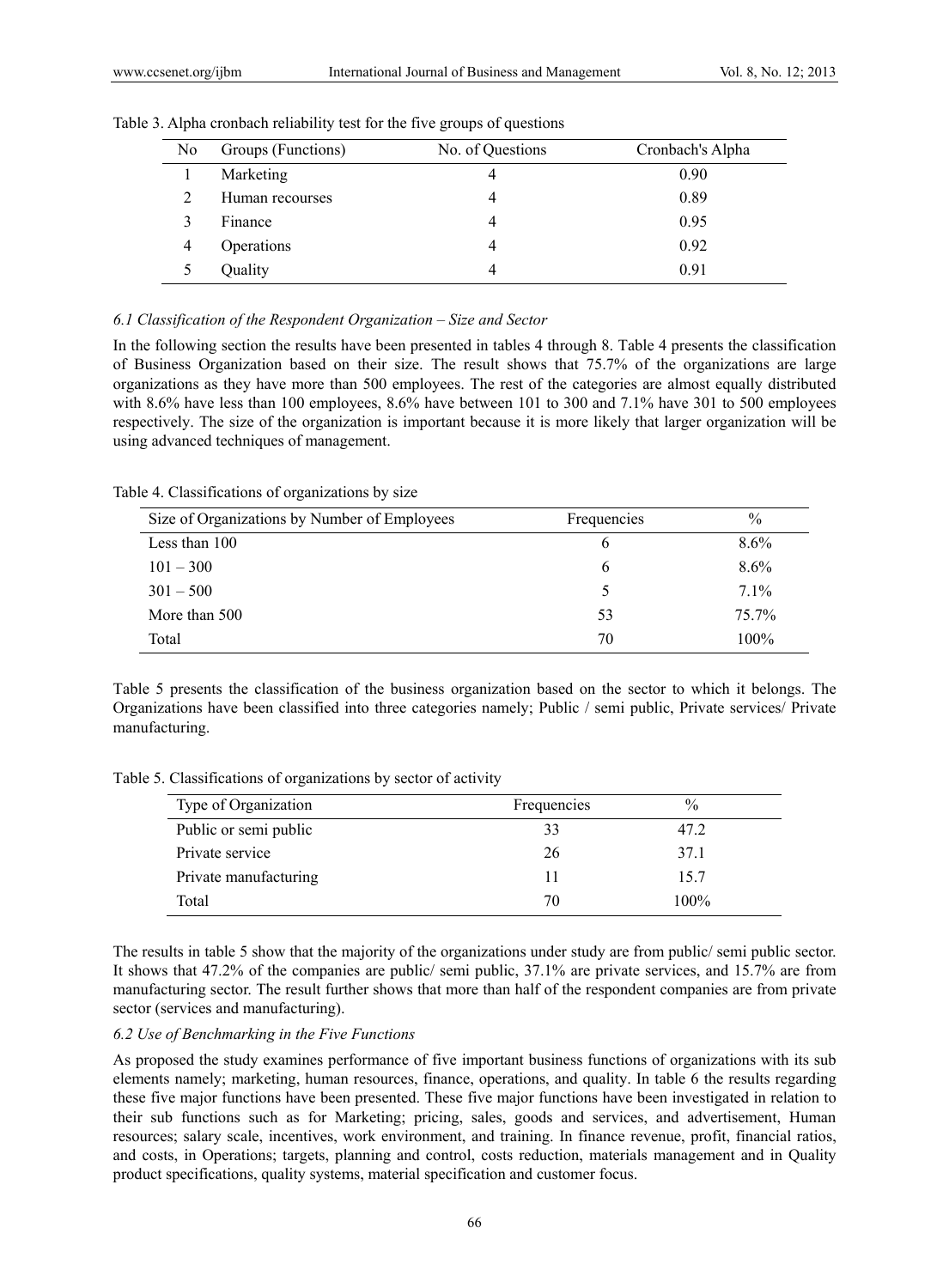| No | Groups (Functions) | No. of Questions | Cronbach's Alpha |
|----|--------------------|------------------|------------------|
|    | Marketing          |                  | 0.90             |
|    | Human recourses    |                  | 0.89             |
|    | Finance            |                  | 0.95             |
| 4  | Operations         |                  | 0.92             |
|    | Quality            |                  | 0.91             |

Table 3. Alpha cronbach reliability test for the five groups of questions

#### *6.1 Classification of the Respondent Organization – Size and Sector*

In the following section the results have been presented in tables 4 through 8. Table 4 presents the classification of Business Organization based on their size. The result shows that 75.7% of the organizations are large organizations as they have more than 500 employees. The rest of the categories are almost equally distributed with 8.6% have less than 100 employees, 8.6% have between 101 to 300 and 7.1% have 301 to 500 employees respectively. The size of the organization is important because it is more likely that larger organization will be using advanced techniques of management.

Table 4. Classifications of organizations by size

| Size of Organizations by Number of Employees | Frequencies | $\%$    |
|----------------------------------------------|-------------|---------|
| Less than 100                                | o           | $8.6\%$ |
| $101 - 300$                                  | b           | 8.6%    |
| $301 - 500$                                  |             | 7.1%    |
| More than 500                                | 53          | 75.7%   |
| Total                                        | 70          | 100%    |

Table 5 presents the classification of the business organization based on the sector to which it belongs. The Organizations have been classified into three categories namely; Public / semi public, Private services/ Private manufacturing.

Table 5. Classifications of organizations by sector of activity

| Type of Organization  | Frequencies | $\frac{0}{0}$ |
|-----------------------|-------------|---------------|
| Public or semi public | 33          | 47.2          |
| Private service       | 26          | 37.1          |
| Private manufacturing | 11          | 15.7          |
| Total                 | 70          | 100%          |

The results in table 5 show that the majority of the organizations under study are from public/ semi public sector. It shows that 47.2% of the companies are public/ semi public, 37.1% are private services, and 15.7% are from manufacturing sector. The result further shows that more than half of the respondent companies are from private sector (services and manufacturing).

#### *6.2 Use of Benchmarking in the Five Functions*

As proposed the study examines performance of five important business functions of organizations with its sub elements namely; marketing, human resources, finance, operations, and quality. In table 6 the results regarding these five major functions have been presented. These five major functions have been investigated in relation to their sub functions such as for Marketing; pricing, sales, goods and services, and advertisement, Human resources; salary scale, incentives, work environment, and training. In finance revenue, profit, financial ratios, and costs, in Operations; targets, planning and control, costs reduction, materials management and in Quality product specifications, quality systems, material specification and customer focus.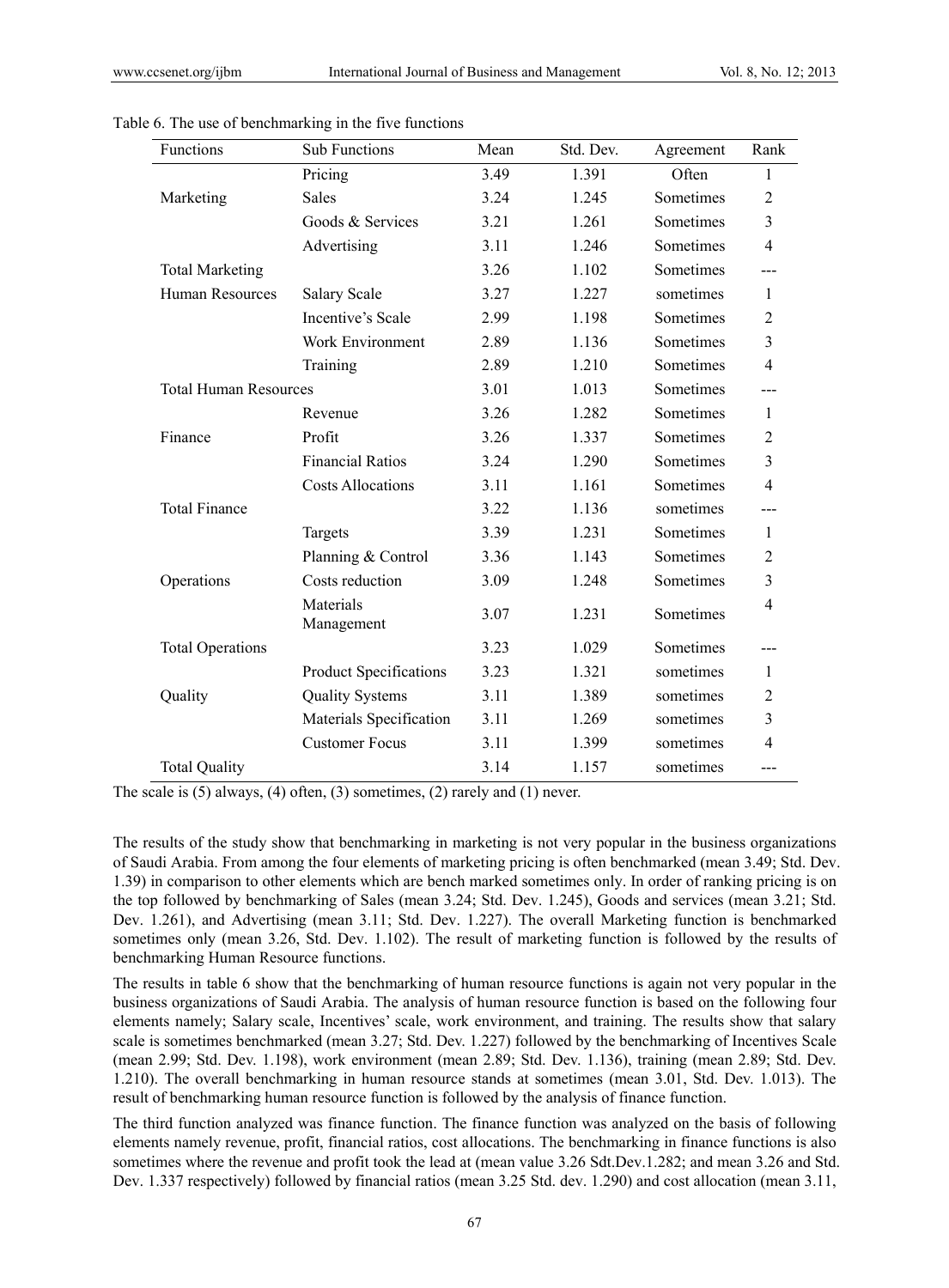| Functions                    | Sub Functions                 | Mean | Std. Dev. | Agreement | Rank           |
|------------------------------|-------------------------------|------|-----------|-----------|----------------|
|                              | Pricing                       | 3.49 | 1.391     | Often     | 1              |
| Marketing                    | <b>Sales</b>                  | 3.24 | 1.245     | Sometimes | 2              |
|                              | Goods & Services              | 3.21 | 1.261     | Sometimes | $\overline{3}$ |
|                              | Advertising                   | 3.11 | 1.246     | Sometimes | 4              |
| <b>Total Marketing</b>       |                               | 3.26 | 1.102     | Sometimes |                |
| Human Resources              | <b>Salary Scale</b>           | 3.27 | 1.227     | sometimes | 1              |
|                              | Incentive's Scale             | 2.99 | 1.198     | Sometimes | 2              |
|                              | Work Environment              | 2.89 | 1.136     | Sometimes | 3              |
|                              | Training                      | 2.89 | 1.210     | Sometimes | $\overline{4}$ |
| <b>Total Human Resources</b> |                               | 3.01 | 1.013     | Sometimes |                |
|                              | Revenue                       | 3.26 | 1.282     | Sometimes | $\mathbf{1}$   |
| Finance                      | Profit                        | 3.26 | 1.337     | Sometimes | 2              |
|                              | <b>Financial Ratios</b>       | 3.24 | 1.290     | Sometimes | $\overline{3}$ |
|                              | <b>Costs Allocations</b>      | 3.11 | 1.161     | Sometimes | $\overline{4}$ |
| <b>Total Finance</b>         |                               | 3.22 | 1.136     | sometimes |                |
|                              | Targets                       | 3.39 | 1.231     | Sometimes | $\mathbf{1}$   |
|                              | Planning & Control            | 3.36 | 1.143     | Sometimes | 2              |
| Operations                   | Costs reduction               | 3.09 | 1.248     | Sometimes | $\overline{3}$ |
|                              | Materials<br>Management       | 3.07 | 1.231     | Sometimes | $\overline{4}$ |
| <b>Total Operations</b>      |                               | 3.23 | 1.029     | Sometimes |                |
|                              | <b>Product Specifications</b> | 3.23 | 1.321     | sometimes | 1              |
| Quality                      | <b>Quality Systems</b>        | 3.11 | 1.389     | sometimes | 2              |
|                              | Materials Specification       | 3.11 | 1.269     | sometimes | 3              |
|                              | <b>Customer Focus</b>         | 3.11 | 1.399     | sometimes | 4              |
| <b>Total Quality</b>         |                               | 3.14 | 1.157     | sometimes | ---            |

Table 6. The use of benchmarking in the five functions

The scale is (5) always, (4) often, (3) sometimes, (2) rarely and (1) never.

The results of the study show that benchmarking in marketing is not very popular in the business organizations of Saudi Arabia. From among the four elements of marketing pricing is often benchmarked (mean 3.49; Std. Dev. 1.39) in comparison to other elements which are bench marked sometimes only. In order of ranking pricing is on the top followed by benchmarking of Sales (mean 3.24; Std. Dev. 1.245), Goods and services (mean 3.21; Std. Dev. 1.261), and Advertising (mean 3.11; Std. Dev. 1.227). The overall Marketing function is benchmarked sometimes only (mean 3.26, Std. Dev. 1.102). The result of marketing function is followed by the results of benchmarking Human Resource functions.

The results in table 6 show that the benchmarking of human resource functions is again not very popular in the business organizations of Saudi Arabia. The analysis of human resource function is based on the following four elements namely; Salary scale, Incentives' scale, work environment, and training. The results show that salary scale is sometimes benchmarked (mean 3.27; Std. Dev. 1.227) followed by the benchmarking of Incentives Scale (mean 2.99; Std. Dev. 1.198), work environment (mean 2.89; Std. Dev. 1.136), training (mean 2.89; Std. Dev. 1.210). The overall benchmarking in human resource stands at sometimes (mean 3.01, Std. Dev. 1.013). The result of benchmarking human resource function is followed by the analysis of finance function.

The third function analyzed was finance function. The finance function was analyzed on the basis of following elements namely revenue, profit, financial ratios, cost allocations. The benchmarking in finance functions is also sometimes where the revenue and profit took the lead at (mean value 3.26 Sdt.Dev.1.282; and mean 3.26 and Std. Dev. 1.337 respectively) followed by financial ratios (mean 3.25 Std. dev. 1.290) and cost allocation (mean 3.11,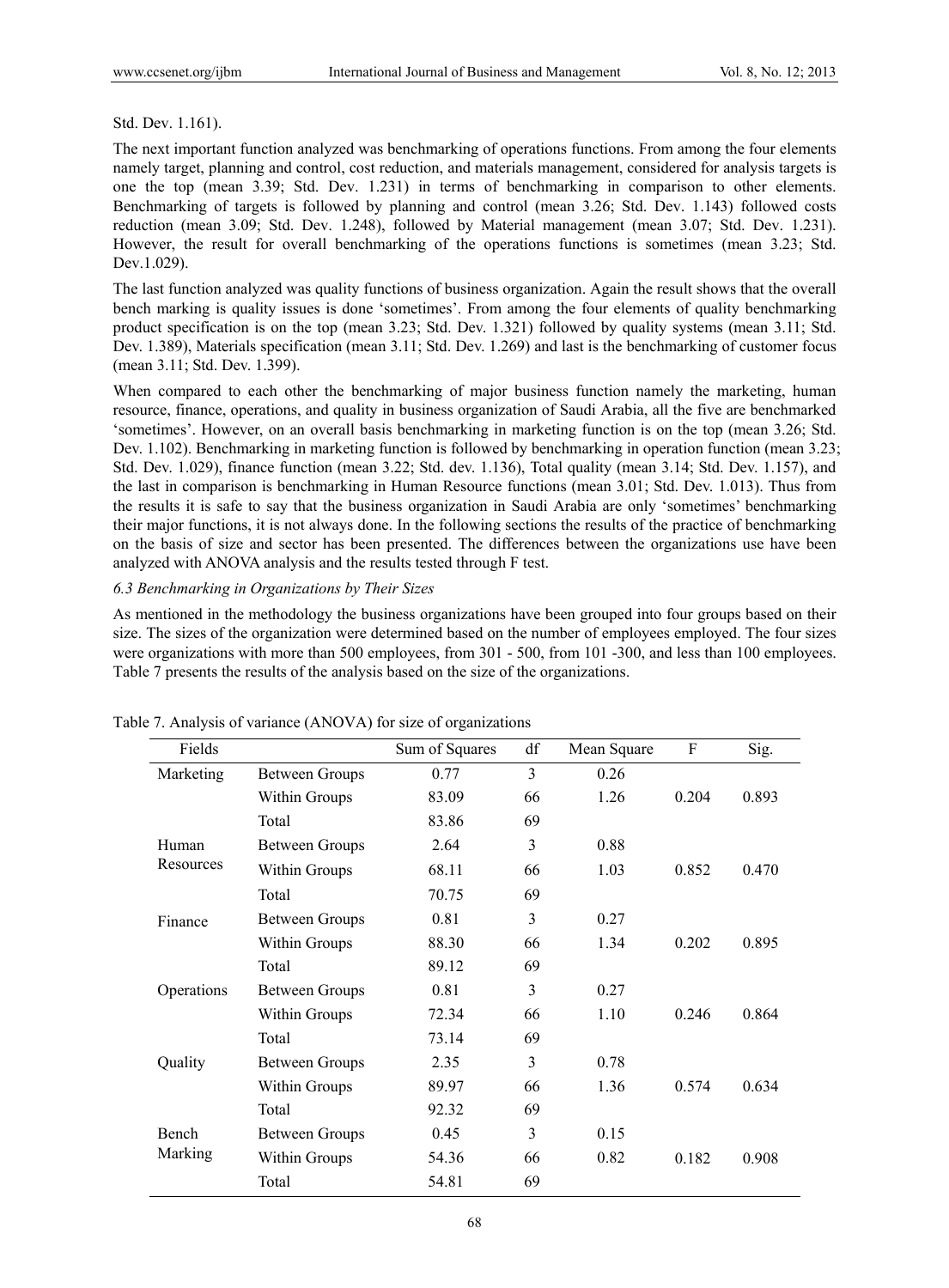## Std. Dev. 1.161).

The next important function analyzed was benchmarking of operations functions. From among the four elements namely target, planning and control, cost reduction, and materials management, considered for analysis targets is one the top (mean 3.39; Std. Dev. 1.231) in terms of benchmarking in comparison to other elements. Benchmarking of targets is followed by planning and control (mean 3.26; Std. Dev. 1.143) followed costs reduction (mean 3.09; Std. Dev. 1.248), followed by Material management (mean 3.07; Std. Dev. 1.231). However, the result for overall benchmarking of the operations functions is sometimes (mean 3.23; Std. Dev.1.029).

The last function analyzed was quality functions of business organization. Again the result shows that the overall bench marking is quality issues is done 'sometimes'. From among the four elements of quality benchmarking product specification is on the top (mean 3.23; Std. Dev. 1.321) followed by quality systems (mean 3.11; Std. Dev. 1.389), Materials specification (mean 3.11; Std. Dev. 1.269) and last is the benchmarking of customer focus (mean 3.11; Std. Dev. 1.399).

When compared to each other the benchmarking of major business function namely the marketing, human resource, finance, operations, and quality in business organization of Saudi Arabia, all the five are benchmarked 'sometimes'. However, on an overall basis benchmarking in marketing function is on the top (mean 3.26; Std. Dev. 1.102). Benchmarking in marketing function is followed by benchmarking in operation function (mean 3.23; Std. Dev. 1.029), finance function (mean 3.22; Std. dev. 1.136), Total quality (mean 3.14; Std. Dev. 1.157), and the last in comparison is benchmarking in Human Resource functions (mean 3.01; Std. Dev. 1.013). Thus from the results it is safe to say that the business organization in Saudi Arabia are only 'sometimes' benchmarking their major functions, it is not always done. In the following sections the results of the practice of benchmarking on the basis of size and sector has been presented. The differences between the organizations use have been analyzed with ANOVA analysis and the results tested through F test.

## *6.3 Benchmarking in Organizations by Their Sizes*

As mentioned in the methodology the business organizations have been grouped into four groups based on their size. The sizes of the organization were determined based on the number of employees employed. The four sizes were organizations with more than 500 employees, from 301 - 500, from 101 -300, and less than 100 employees. Table 7 presents the results of the analysis based on the size of the organizations.

| Fields       |                       | Sum of Squares | df | Mean Square | F     | Sig.  |
|--------------|-----------------------|----------------|----|-------------|-------|-------|
| Marketing    | <b>Between Groups</b> | 0.77           | 3  | 0.26        |       |       |
|              | Within Groups         | 83.09          | 66 | 1.26        | 0.204 | 0.893 |
|              | Total                 | 83.86          | 69 |             |       |       |
| Human        | <b>Between Groups</b> | 2.64           | 3  | 0.88        |       |       |
| Resources    | Within Groups         | 68.11          | 66 | 1.03        | 0.852 | 0.470 |
|              | Total                 | 70.75          | 69 |             |       |       |
| Finance      | <b>Between Groups</b> | 0.81           | 3  | 0.27        |       |       |
|              | Within Groups         | 88.30          | 66 | 1.34        | 0.202 | 0.895 |
|              | Total                 | 89.12          | 69 |             |       |       |
| Operations   | Between Groups        | 0.81           | 3  | 0.27        |       |       |
|              | Within Groups         | 72.34          | 66 | 1.10        | 0.246 | 0.864 |
|              | Total                 | 73.14          | 69 |             |       |       |
| Quality      | <b>Between Groups</b> | 2.35           | 3  | 0.78        |       |       |
|              | Within Groups         | 89.97          | 66 | 1.36        | 0.574 | 0.634 |
|              | Total                 | 92.32          | 69 |             |       |       |
| <b>Bench</b> | <b>Between Groups</b> | 0.45           | 3  | 0.15        |       |       |
| Marking      | Within Groups         | 54.36          | 66 | 0.82        | 0.182 | 0.908 |
|              | Total                 | 54.81          | 69 |             |       |       |

Table 7. Analysis of variance (ANOVA) for size of organizations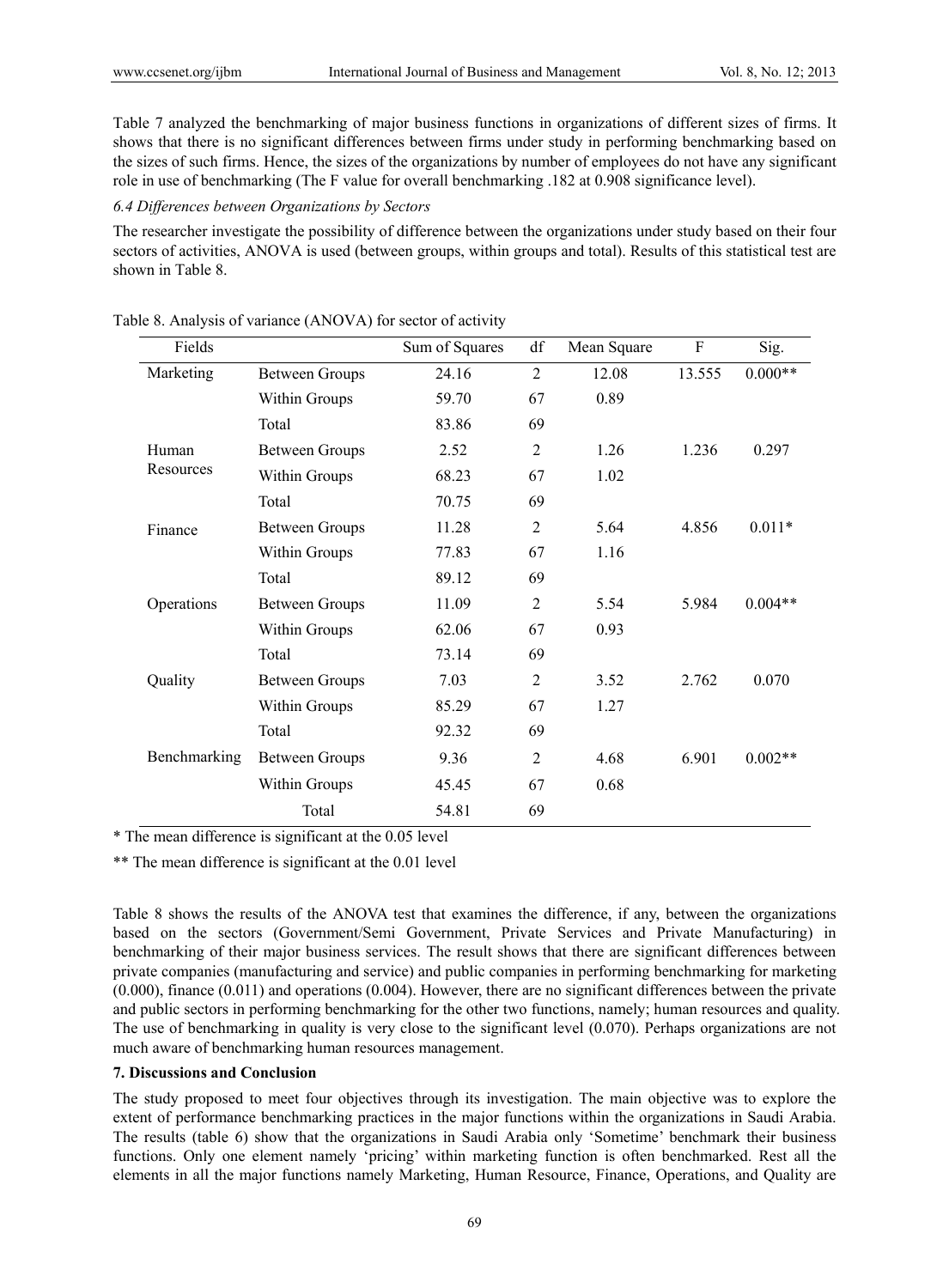Table 7 analyzed the benchmarking of major business functions in organizations of different sizes of firms. It shows that there is no significant differences between firms under study in performing benchmarking based on the sizes of such firms. Hence, the sizes of the organizations by number of employees do not have any significant role in use of benchmarking (The F value for overall benchmarking .182 at 0.908 significance level).

#### *6.4 Differences between Organizations by Sectors*

The researcher investigate the possibility of difference between the organizations under study based on their four sectors of activities, ANOVA is used (between groups, within groups and total). Results of this statistical test are shown in Table 8.

| Fields       |                       | Sum of Squares | df             | Mean Square | F      | Sig.      |
|--------------|-----------------------|----------------|----------------|-------------|--------|-----------|
| Marketing    | <b>Between Groups</b> | 24.16          | $\overline{2}$ | 12.08       | 13.555 | $0.000**$ |
|              | Within Groups         | 59.70          | 67             | 0.89        |        |           |
|              | Total                 | 83.86          | 69             |             |        |           |
| Human        | <b>Between Groups</b> | 2.52           | $\overline{2}$ | 1.26        | 1.236  | 0.297     |
| Resources    | Within Groups         | 68.23          | 67             | 1.02        |        |           |
|              | Total                 | 70.75          | 69             |             |        |           |
| Finance      | <b>Between Groups</b> | 11.28          | $\overline{2}$ | 5.64        | 4.856  | $0.011*$  |
|              | Within Groups         | 77.83          | 67             | 1.16        |        |           |
|              | Total                 | 89.12          | 69             |             |        |           |
| Operations   | <b>Between Groups</b> | 11.09          | $\overline{2}$ | 5.54        | 5.984  | $0.004**$ |
|              | Within Groups         | 62.06          | 67             | 0.93        |        |           |
|              | Total                 | 73.14          | 69             |             |        |           |
| Quality      | <b>Between Groups</b> | 7.03           | $\overline{2}$ | 3.52        | 2.762  | 0.070     |
|              | Within Groups         | 85.29          | 67             | 1.27        |        |           |
|              | Total                 | 92.32          | 69             |             |        |           |
| Benchmarking | <b>Between Groups</b> | 9.36           | $\overline{2}$ | 4.68        | 6.901  | $0.002**$ |
|              | Within Groups         | 45.45          | 67             | 0.68        |        |           |
|              | Total                 | 54.81          | 69             |             |        |           |

| Table 8. Analysis of variance (ANOVA) for sector of activity |
|--------------------------------------------------------------|
|--------------------------------------------------------------|

\* The mean difference is significant at the 0.05 level

\*\* The mean difference is significant at the 0.01 level

Table 8 shows the results of the ANOVA test that examines the difference, if any, between the organizations based on the sectors (Government/Semi Government, Private Services and Private Manufacturing) in benchmarking of their major business services. The result shows that there are significant differences between private companies (manufacturing and service) and public companies in performing benchmarking for marketing (0.000), finance (0.011) and operations (0.004). However, there are no significant differences between the private and public sectors in performing benchmarking for the other two functions, namely; human resources and quality. The use of benchmarking in quality is very close to the significant level (0.070). Perhaps organizations are not much aware of benchmarking human resources management.

#### **7. Discussions and Conclusion**

The study proposed to meet four objectives through its investigation. The main objective was to explore the extent of performance benchmarking practices in the major functions within the organizations in Saudi Arabia. The results (table 6) show that the organizations in Saudi Arabia only 'Sometime' benchmark their business functions. Only one element namely 'pricing' within marketing function is often benchmarked. Rest all the elements in all the major functions namely Marketing, Human Resource, Finance, Operations, and Quality are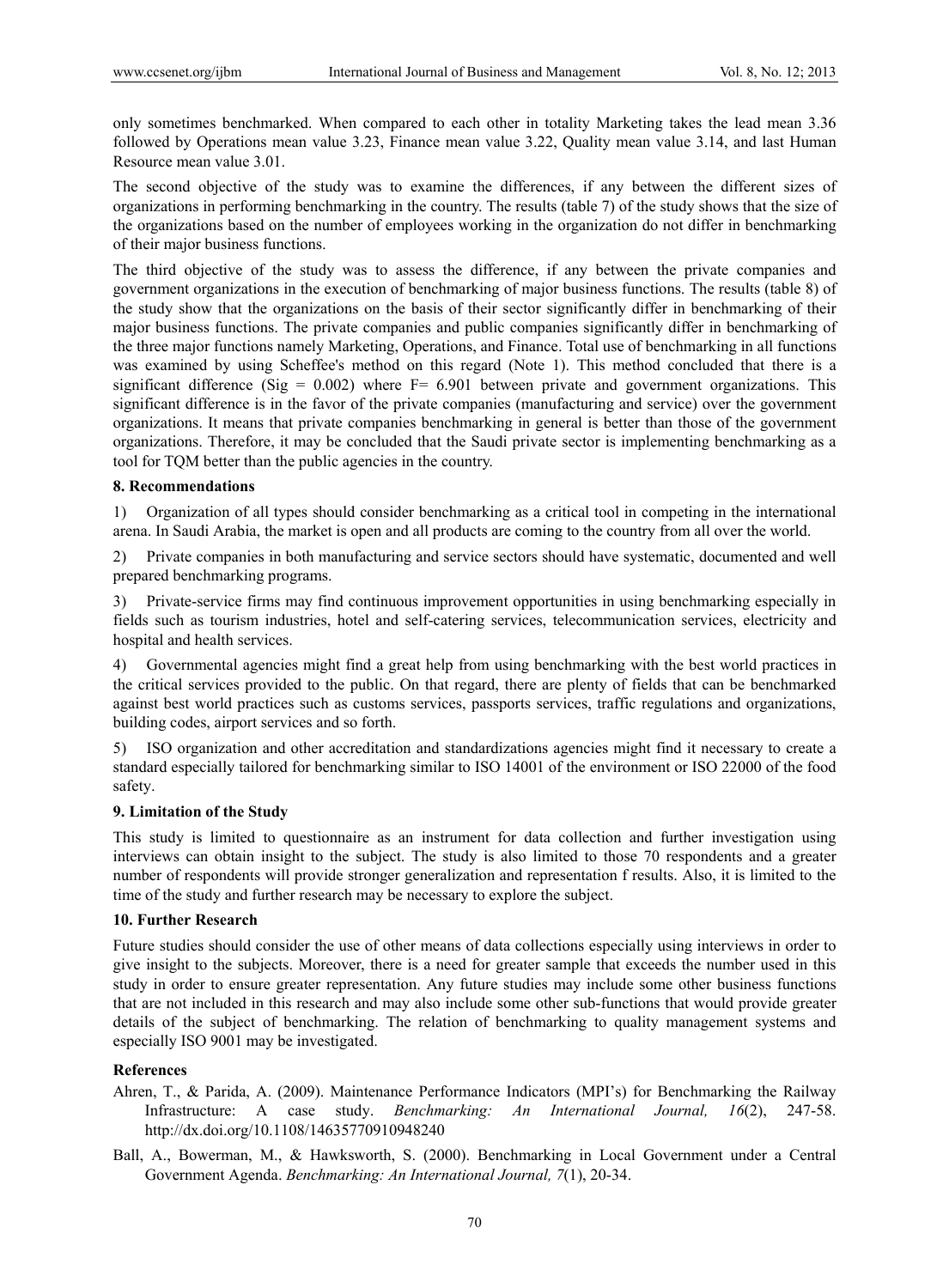only sometimes benchmarked. When compared to each other in totality Marketing takes the lead mean 3.36 followed by Operations mean value 3.23, Finance mean value 3.22, Quality mean value 3.14, and last Human Resource mean value 3.01.

The second objective of the study was to examine the differences, if any between the different sizes of organizations in performing benchmarking in the country. The results (table 7) of the study shows that the size of the organizations based on the number of employees working in the organization do not differ in benchmarking of their major business functions.

The third objective of the study was to assess the difference, if any between the private companies and government organizations in the execution of benchmarking of major business functions. The results (table 8) of the study show that the organizations on the basis of their sector significantly differ in benchmarking of their major business functions. The private companies and public companies significantly differ in benchmarking of the three major functions namely Marketing, Operations, and Finance. Total use of benchmarking in all functions was examined by using Scheffee's method on this regard (Note 1). This method concluded that there is a significant difference (Sig =  $0.002$ ) where F=  $6.901$  between private and government organizations. This significant difference is in the favor of the private companies (manufacturing and service) over the government organizations. It means that private companies benchmarking in general is better than those of the government organizations. Therefore, it may be concluded that the Saudi private sector is implementing benchmarking as a tool for TQM better than the public agencies in the country.

## **8. Recommendations**

1) Organization of all types should consider benchmarking as a critical tool in competing in the international arena. In Saudi Arabia, the market is open and all products are coming to the country from all over the world.

2) Private companies in both manufacturing and service sectors should have systematic, documented and well prepared benchmarking programs.

3) Private-service firms may find continuous improvement opportunities in using benchmarking especially in fields such as tourism industries, hotel and self-catering services, telecommunication services, electricity and hospital and health services.

4) Governmental agencies might find a great help from using benchmarking with the best world practices in the critical services provided to the public. On that regard, there are plenty of fields that can be benchmarked against best world practices such as customs services, passports services, traffic regulations and organizations, building codes, airport services and so forth.

5) ISO organization and other accreditation and standardizations agencies might find it necessary to create a standard especially tailored for benchmarking similar to ISO 14001 of the environment or ISO 22000 of the food safety.

## **9. Limitation of the Study**

This study is limited to questionnaire as an instrument for data collection and further investigation using interviews can obtain insight to the subject. The study is also limited to those 70 respondents and a greater number of respondents will provide stronger generalization and representation f results. Also, it is limited to the time of the study and further research may be necessary to explore the subject.

## **10. Further Research**

Future studies should consider the use of other means of data collections especially using interviews in order to give insight to the subjects. Moreover, there is a need for greater sample that exceeds the number used in this study in order to ensure greater representation. Any future studies may include some other business functions that are not included in this research and may also include some other sub-functions that would provide greater details of the subject of benchmarking. The relation of benchmarking to quality management systems and especially ISO 9001 may be investigated.

## **References**

- Ahren, T., & Parida, A. (2009). Maintenance Performance Indicators (MPI's) for Benchmarking the Railway Infrastructure: A case study. *Benchmarking: An International Journal, 16*(2), 247-58. http://dx.doi.org/10.1108/14635770910948240
- Ball, A., Bowerman, M., & Hawksworth, S. (2000). Benchmarking in Local Government under a Central Government Agenda. *Benchmarking: An International Journal, 7*(1), 20-34.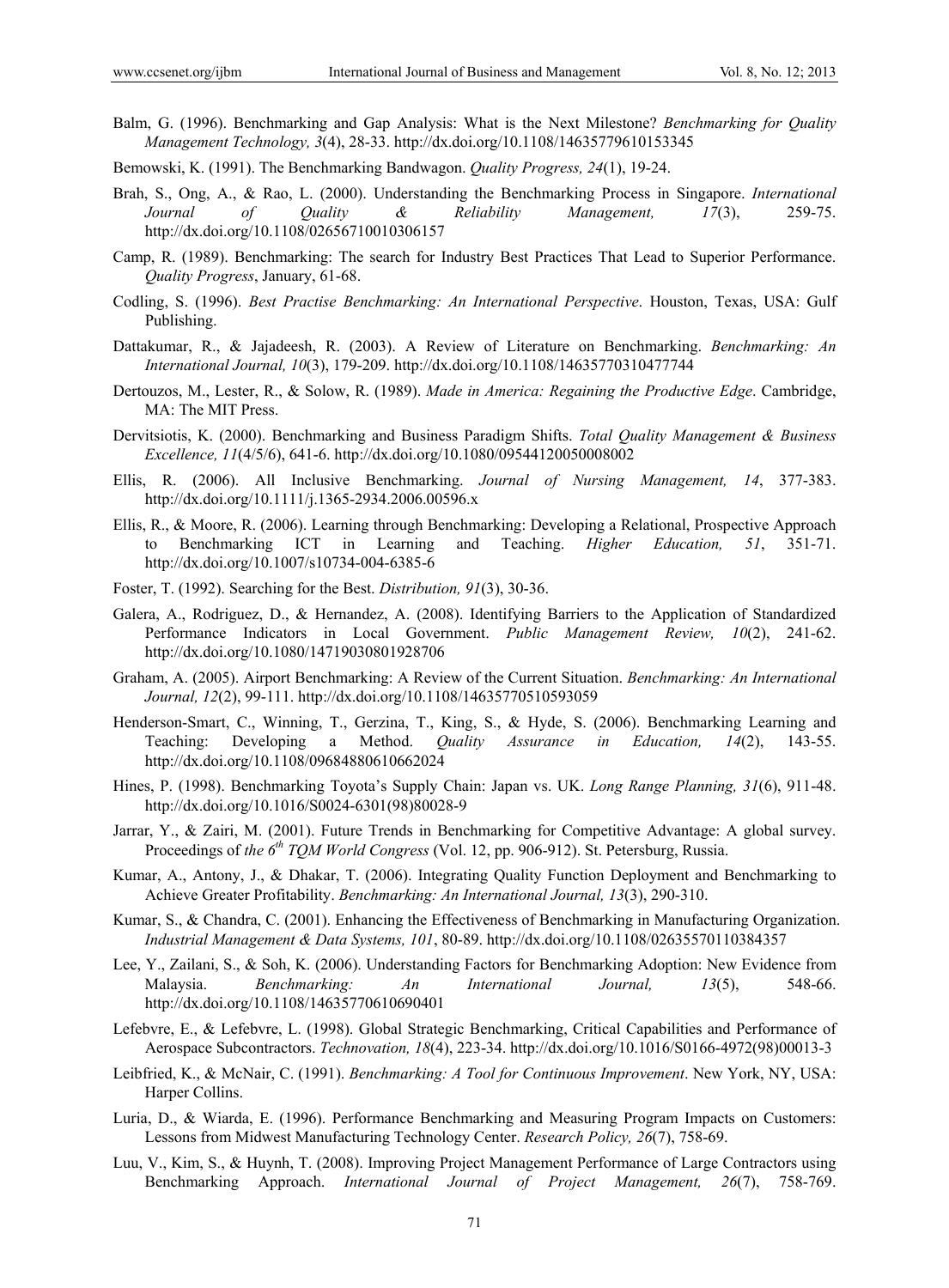- Balm, G. (1996). Benchmarking and Gap Analysis: What is the Next Milestone? *Benchmarking for Quality Management Technology, 3*(4), 28-33. http://dx.doi.org/10.1108/14635779610153345
- Bemowski, K. (1991). The Benchmarking Bandwagon. *Quality Progress, 24*(1), 19-24.
- Brah, S., Ong, A., & Rao, L. (2000). Understanding the Benchmarking Process in Singapore. *International Journal of Quality & Reliability Management, 17*(3), 259-75. http://dx.doi.org/10.1108/02656710010306157
- Camp, R. (1989). Benchmarking: The search for Industry Best Practices That Lead to Superior Performance. *Quality Progress*, January, 61-68.
- Codling, S. (1996). *Best Practise Benchmarking: An International Perspective*. Houston, Texas, USA: Gulf Publishing.
- Dattakumar, R., & Jajadeesh, R. (2003). A Review of Literature on Benchmarking. *Benchmarking: An International Journal, 10*(3), 179-209. http://dx.doi.org/10.1108/14635770310477744
- Dertouzos, M., Lester, R., & Solow, R. (1989). *Made in America: Regaining the Productive Edge*. Cambridge, MA: The MIT Press.
- Dervitsiotis, K. (2000). Benchmarking and Business Paradigm Shifts. *Total Quality Management & Business Excellence, 11*(4/5/6), 641-6. http://dx.doi.org/10.1080/09544120050008002
- Ellis, R. (2006). All Inclusive Benchmarking. *Journal of Nursing Management, 14*, 377-383. http://dx.doi.org/10.1111/j.1365-2934.2006.00596.x
- Ellis, R., & Moore, R. (2006). Learning through Benchmarking: Developing a Relational, Prospective Approach to Benchmarking ICT in Learning and Teaching. *Higher Education, 51*, 351-71. http://dx.doi.org/10.1007/s10734-004-6385-6
- Foster, T. (1992). Searching for the Best. *Distribution, 91*(3), 30-36.
- Galera, A., Rodriguez, D., & Hernandez, A. (2008). Identifying Barriers to the Application of Standardized Performance Indicators in Local Government. *Public Management Review, 10*(2), 241-62. http://dx.doi.org/10.1080/14719030801928706
- Graham, A. (2005). Airport Benchmarking: A Review of the Current Situation. *Benchmarking: An International Journal, 12*(2), 99-111. http://dx.doi.org/10.1108/14635770510593059
- Henderson-Smart, C., Winning, T., Gerzina, T., King, S., & Hyde, S. (2006). Benchmarking Learning and Teaching: Developing a Method. *Quality Assurance in Education, 14*(2), 143-55. http://dx.doi.org/10.1108/09684880610662024
- Hines, P. (1998). Benchmarking Toyota's Supply Chain: Japan vs. UK. *Long Range Planning, 31*(6), 911-48. http://dx.doi.org/10.1016/S0024-6301(98)80028-9
- Jarrar, Y., & Zairi, M. (2001). Future Trends in Benchmarking for Competitive Advantage: A global survey. Proceedings of *the 6th TQM World Congress* (Vol. 12, pp. 906-912). St. Petersburg, Russia.
- Kumar, A., Antony, J., & Dhakar, T. (2006). Integrating Quality Function Deployment and Benchmarking to Achieve Greater Profitability. *Benchmarking: An International Journal, 13*(3), 290-310.
- Kumar, S., & Chandra, C. (2001). Enhancing the Effectiveness of Benchmarking in Manufacturing Organization. *Industrial Management & Data Systems, 101*, 80-89. http://dx.doi.org/10.1108/02635570110384357
- Lee, Y., Zailani, S., & Soh, K. (2006). Understanding Factors for Benchmarking Adoption: New Evidence from Malaysia. *Benchmarking: An International Journal, 13*(5), 548-66. http://dx.doi.org/10.1108/14635770610690401
- Lefebvre, E., & Lefebvre, L. (1998). Global Strategic Benchmarking, Critical Capabilities and Performance of Aerospace Subcontractors. *Technovation, 18*(4), 223-34. http://dx.doi.org/10.1016/S0166-4972(98)00013-3
- Leibfried, K., & McNair, C. (1991). *Benchmarking: A Tool for Continuous Improvement*. New York, NY, USA: Harper Collins.
- Luria, D., & Wiarda, E. (1996). Performance Benchmarking and Measuring Program Impacts on Customers: Lessons from Midwest Manufacturing Technology Center. *Research Policy, 26*(7), 758-69.
- Luu, V., Kim, S., & Huynh, T. (2008). Improving Project Management Performance of Large Contractors using Benchmarking Approach. *International Journal of Project Management, 26*(7), 758-769.